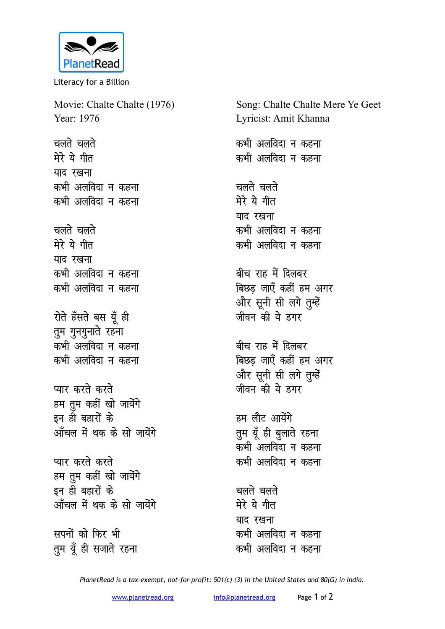

Literacy for a Billion

Movie: Chalte Chalte (1976) Year: 1976

**चलते** चलते मेरे ये गीत याद रखना कभी अलविदा न कहना कभी अलविदा न कहन<mark>ा</mark>

**चलते** चलते मेरे ये गीत याद रखना कभी अलविदा न कहना कभी अलविदा न कहना

रोते हँसते बस यूँ ही तुम गुनगुनाते रहना कभी अलविदा न कहन<mark>ा</mark> कभी अलविदा न कहना

**प्यार करते करते** हम तुम कहीं खो जायेंगे इन ही बहारों के <u>आँचल में थक के सो जायेंगे</u>

**प्यार करते करते** हम <u>त</u>ुम कहीं खो जायेंगे इन ही बहारों के <u>आँचल में थक के सो जायेंगे</u>

सपनों को फिर भी तुम यूँ ही सजाते रहना Song: Chalte Chalte Mere Ye Geet Lyricist: Amit Khanna

कभी अलविदा न कहन<mark>ा</mark> कभी अलविदा न कहना

चलते चलते मेरे ये गीत याद रखना कभी अलविदा न कहन<mark>ा</mark> कभी अलविदा न कहना

बीच राह में दिलबर बिछड़ जाएँ कहीं हम अगर और सूनी सी लगे तुम्हें जीवन की ये **हगर** 

बीच राह में दिलबर बिछड जाएँ कहीं हम अगर और सूनी सी लगे तुम्हें <u>जीवन की ये हगर</u>

हम लौट आयेंगे तुम यूँ ही बुलाते रहना .<br>कभी अलविंदा न कहना कभी अलविदा न कहन<mark>ा</mark>

**चलते** चलते मेरे ये गीत याद रखना कभी अलविदा न कहन<mark>ा</mark> कभी अलविदा न कहना

*PlanetRead is a tax-exempt, not-for-profit: 501(c) (3) in the United States and 80(G) in India.*